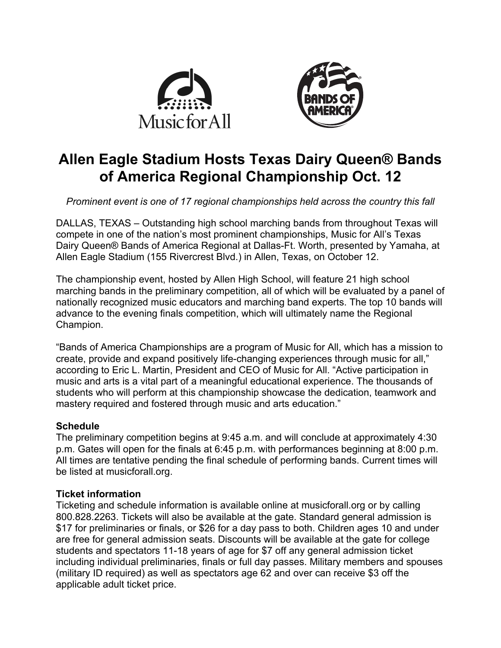



# **Allen Eagle Stadium Hosts Texas Dairy Queen® Bands of America Regional Championship Oct. 12**

*Prominent event is one of 17 regional championships held across the country this fall*

DALLAS, TEXAS – Outstanding high school marching bands from throughout Texas will compete in one of the nation's most prominent championships, Music for All's Texas Dairy Queen® Bands of America Regional at Dallas-Ft. Worth, presented by Yamaha, at Allen Eagle Stadium (155 Rivercrest Blvd.) in Allen, Texas, on October 12.

The championship event, hosted by Allen High School, will feature 21 high school marching bands in the preliminary competition, all of which will be evaluated by a panel of nationally recognized music educators and marching band experts. The top 10 bands will advance to the evening finals competition, which will ultimately name the Regional Champion.

"Bands of America Championships are a program of Music for All, which has a mission to create, provide and expand positively life-changing experiences through music for all," according to Eric L. Martin, President and CEO of Music for All. "Active participation in music and arts is a vital part of a meaningful educational experience. The thousands of students who will perform at this championship showcase the dedication, teamwork and mastery required and fostered through music and arts education."

# **Schedule**

The preliminary competition begins at 9:45 a.m. and will conclude at approximately 4:30 p.m. Gates will open for the finals at 6:45 p.m. with performances beginning at 8:00 p.m. All times are tentative pending the final schedule of performing bands. Current times will be listed at musicforall.org.

# **Ticket information**

Ticketing and schedule information is available online at musicforall.org or by calling 800.828.2263. Tickets will also be available at the gate. Standard general admission is \$17 for preliminaries or finals, or \$26 for a day pass to both. Children ages 10 and under are free for general admission seats. Discounts will be available at the gate for college students and spectators 11-18 years of age for \$7 off any general admission ticket including individual preliminaries, finals or full day passes. Military members and spouses (military ID required) as well as spectators age 62 and over can receive \$3 off the applicable adult ticket price.